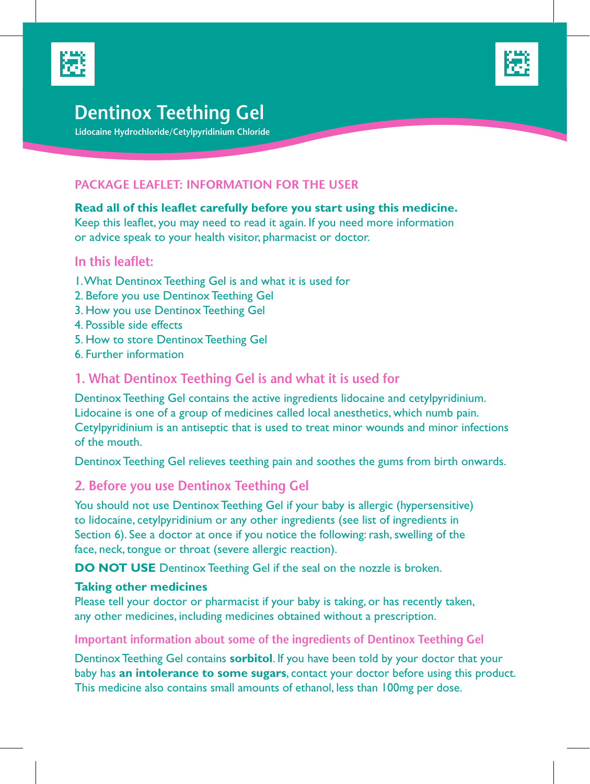



# **Dentinox Teething Gel**

 **Lidocaine Hydrochloride/Cetylpyridinium Chloride**

## **PACKAGE LEAFLET: INFORMATION FOR THE USER**

#### **Read all of this leaflet carefully before you start using this medicine.**

Keep this leaflet, you may need to read it again. If you need more information or advice speak to your health visitor, pharmacist or doctor.

# **In this leaflet:**

- 1. What Dentinox Teething Gel is and what it is used for
- 2. Before you use Dentinox Teething Gel
- 3. How you use Dentinox Teething Gel
- 4. Possible side effects
- 5. How to store Dentinox Teething Gel
- 6. Further information

## **1. What Dentinox Teething Gel is and what it is used for**

Dentinox Teething Gel contains the active ingredients lidocaine and cetylpyridinium. Lidocaine is one of a group of medicines called local anesthetics, which numb pain. Cetylpyridinium is an antiseptic that is used to treat minor wounds and minor infections of the mouth.

Dentinox Teething Gel relieves teething pain and soothes the gums from birth onwards.

## **2. Before you use Dentinox Teething Gel**

You should not use Dentinox Teething Gel if your baby is allergic (hypersensitive) to lidocaine, cetylpyridinium or any other ingredients (see list of ingredients in Section 6). See a doctor at once if you notice the following: rash, swelling of the face, neck, tongue or throat (severe allergic reaction).

**DO NOT USE** Dentinox Teething Gel if the seal on the nozzle is broken.

#### **Taking other medicines**

Please tell your doctor or pharmacist if your baby is taking, or has recently taken, any other medicines, including medicines obtained without a prescription.

#### **Important information about some of the ingredients of Dentinox Teething Gel**

Dentinox Teething Gel contains **sorbitol**. If you have been told by your doctor that your baby has **an intolerance to some sugars**, contact your doctor before using this product. This medicine also contains small amounts of ethanol, less than 100mg per dose.